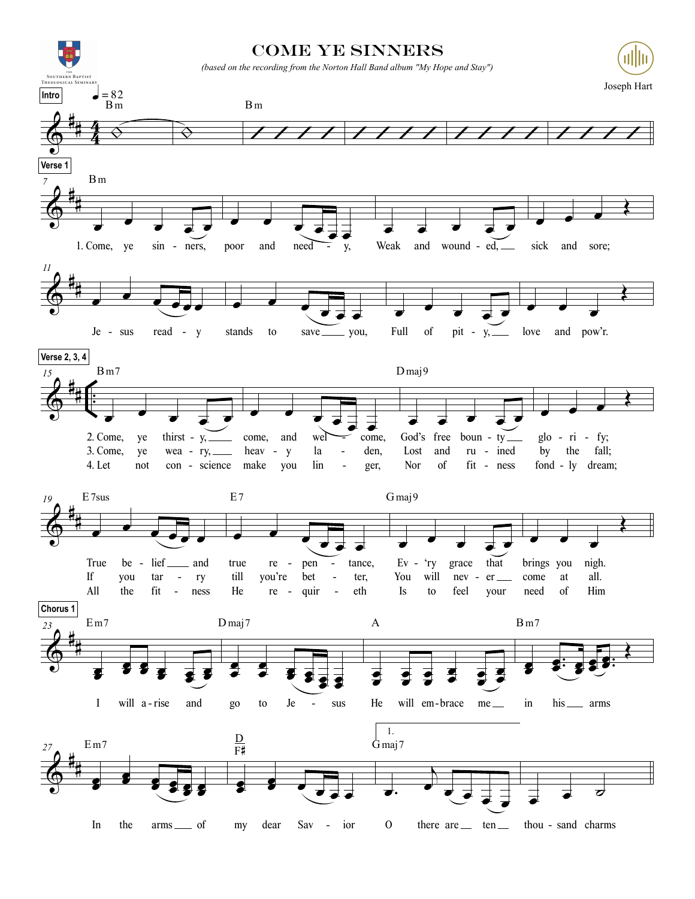